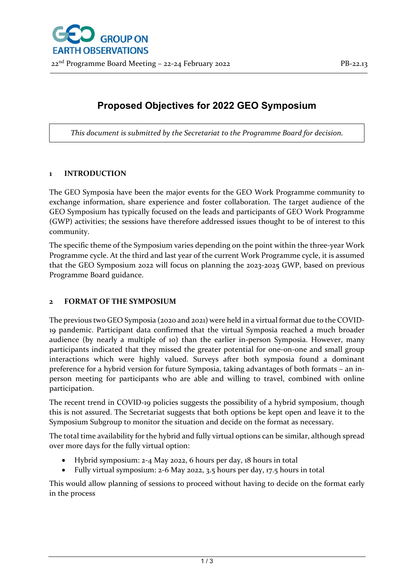# **Proposed Objectives for 2022 GEO Symposium**

*This document is submitted by the Secretariat to the Programme Board for decision.*

# **1 INTRODUCTION**

The GEO Symposia have been the major events for the GEO Work Programme community to exchange information, share experience and foster collaboration. The target audience of the GEO Symposium has typically focused on the leads and participants of GEO Work Programme (GWP) activities; the sessions have therefore addressed issues thought to be of interest to this community.

The specific theme of the Symposium varies depending on the point within the three-year Work Programme cycle. At the third and last year of the current Work Programme cycle, it is assumed that the GEO Symposium 2022 will focus on planning the 2023-2025 GWP, based on previous Programme Board guidance.

# **2 FORMAT OF THE SYMPOSIUM**

The previous two GEO Symposia (2020 and 2021) were held in a virtual format due to the COVID-19 pandemic. Participant data confirmed that the virtual Symposia reached a much broader audience (by nearly a multiple of 10) than the earlier in-person Symposia. However, many participants indicated that they missed the greater potential for one-on-one and small group interactions which were highly valued. Surveys after both symposia found a dominant preference for a hybrid version for future Symposia, taking advantages of both formats – an inperson meeting for participants who are able and willing to travel, combined with online participation.

The recent trend in COVID-19 policies suggests the possibility of a hybrid symposium, though this is not assured. The Secretariat suggests that both options be kept open and leave it to the Symposium Subgroup to monitor the situation and decide on the format as necessary.

The total time availability for the hybrid and fully virtual options can be similar, although spread over more days for the fully virtual option:

- Hybrid symposium: 2-4 May 2022, 6 hours per day, 18 hours in total
- Fully virtual symposium: 2-6 May 2022, 3.5 hours per day, 17.5 hours in total

This would allow planning of sessions to proceed without having to decide on the format early in the process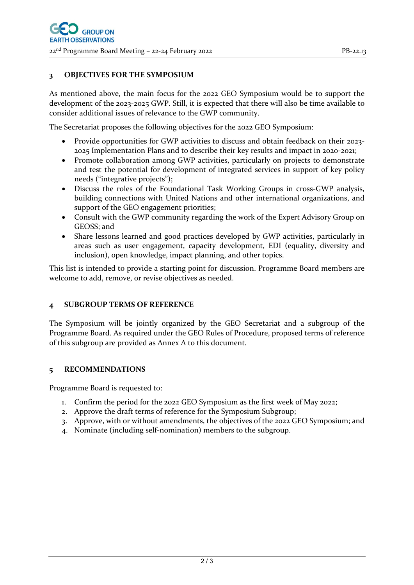### **3 OBJECTIVES FOR THE SYMPOSIUM**

As mentioned above, the main focus for the 2022 GEO Symposium would be to support the development of the 2023-2025 GWP. Still, it is expected that there will also be time available to consider additional issues of relevance to the GWP community.

The Secretariat proposes the following objectives for the 2022 GEO Symposium:

- Provide opportunities for GWP activities to discuss and obtain feedback on their 2023- 2025 Implementation Plans and to describe their key results and impact in 2020-2021;
- Promote collaboration among GWP activities, particularly on projects to demonstrate and test the potential for development of integrated services in support of key policy needs ("integrative projects");
- Discuss the roles of the Foundational Task Working Groups in cross-GWP analysis, building connections with United Nations and other international organizations, and support of the GEO engagement priorities;
- Consult with the GWP community regarding the work of the Expert Advisory Group on GEOSS; and
- Share lessons learned and good practices developed by GWP activities, particularly in areas such as user engagement, capacity development, EDI (equality, diversity and inclusion), open knowledge, impact planning, and other topics.

This list is intended to provide a starting point for discussion. Programme Board members are welcome to add, remove, or revise objectives as needed.

### **4 SUBGROUP TERMS OF REFERENCE**

The Symposium will be jointly organized by the GEO Secretariat and a subgroup of the Programme Board. As required under the GEO Rules of Procedure, proposed terms of reference of this subgroup are provided as Annex A to this document.

### **5 RECOMMENDATIONS**

Programme Board is requested to:

- 1. Confirm the period for the 2022 GEO Symposium as the first week of May 2022;
- 2. Approve the draft terms of reference for the Symposium Subgroup;
- 3. Approve, with or without amendments, the objectives of the 2022 GEO Symposium; and
- 4. Nominate (including self-nomination) members to the subgroup.